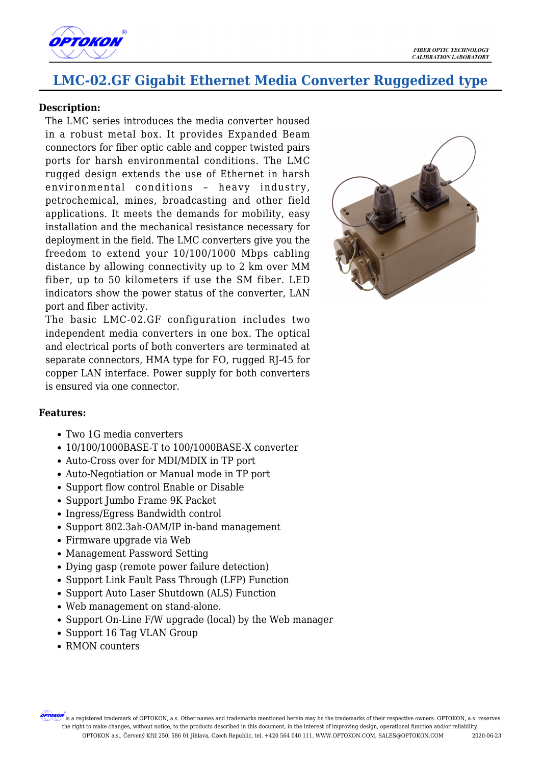

## **LMC-02.GF Gigabit Ethernet Media Converter Ruggedized type**

## **Description:**

The LMC series introduces the media converter housed in a robust metal box. It provides Expanded Beam connectors for fiber optic cable and copper twisted pairs ports for harsh environmental conditions. The LMC rugged design extends the use of Ethernet in harsh environmental conditions – heavy industry, petrochemical, mines, broadcasting and other field applications. It meets the demands for mobility, easy installation and the mechanical resistance necessary for deployment in the field. The LMC converters give you the freedom to extend your 10/100/1000 Mbps cabling distance by allowing connectivity up to 2 km over MM fiber, up to 50 kilometers if use the SM fiber. LED indicators show the power status of the converter, LAN port and fiber activity.

The basic LMC-02.GF configuration includes two independent media converters in one box. The optical and electrical ports of both converters are terminated at separate connectors, HMA type for FO, rugged RJ-45 for copper LAN interface. Power supply for both converters is ensured via one connector.



## **Features:**

- Two 1G media converters
- 10/100/1000BASE-T to 100/1000BASE-X converter
- Auto-Cross over for MDI/MDIX in TP port
- Auto-Negotiation or Manual mode in TP port
- Support flow control Enable or Disable
- Support Jumbo Frame 9K Packet
- Ingress/Egress Bandwidth control
- Support 802.3ah-OAM/IP in-band management
- Firmware upgrade via Web
- Management Password Setting
- Dying gasp (remote power failure detection)
- Support Link Fault Pass Through (LFP) Function
- Support Auto Laser Shutdown (ALS) Function
- Web management on stand-alone.
- Support On-Line F/W upgrade (local) by the Web manager
- Support 16 Tag VLAN Group
- RMON counters